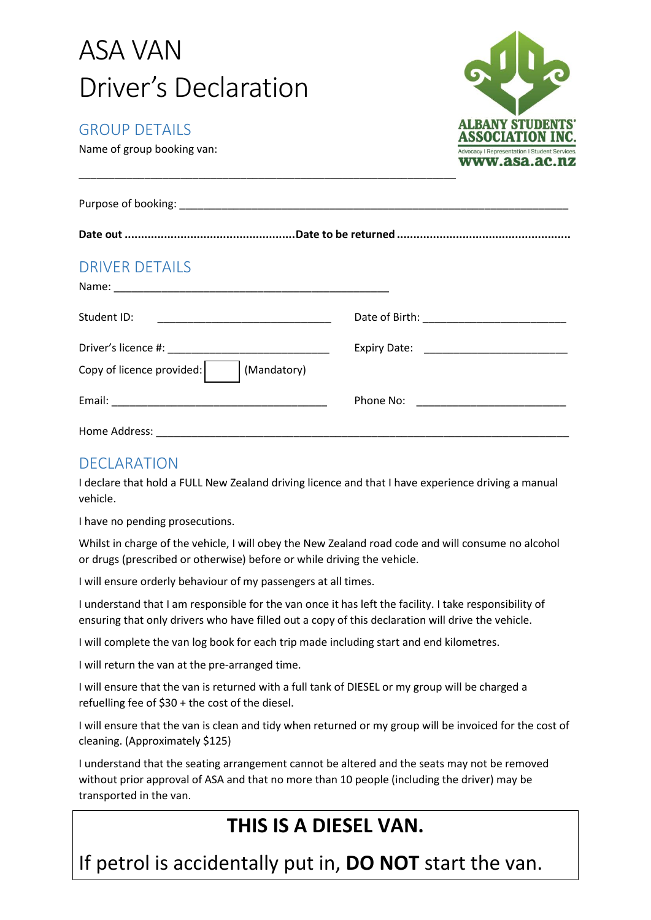| <b>ASA VAN</b>                                                         |                                                                                                   |
|------------------------------------------------------------------------|---------------------------------------------------------------------------------------------------|
| Driver's Declaration                                                   |                                                                                                   |
| <b>GROUP DETAILS</b><br>Name of group booking van:                     | <b>ALBANY STUDEN</b><br><b>ASSOCIATION</b><br><b>Advocacy   Representation   Student Services</b> |
|                                                                        | www.asa.ac.nz                                                                                     |
|                                                                        |                                                                                                   |
|                                                                        |                                                                                                   |
| <b>DRIVER DETAILS</b>                                                  |                                                                                                   |
|                                                                        |                                                                                                   |
| <u> 1980 - Jan Barbara, martxa al II-lea (h. 1980).</u><br>Student ID: |                                                                                                   |
|                                                                        |                                                                                                   |
| Copy of licence provided:<br>(Mandatory)                               |                                                                                                   |
|                                                                        | Phone No: <u>______________________</u>                                                           |
| Home Address:                                                          |                                                                                                   |

### DECLARATION

I declare that hold a FULL New Zealand driving licence and that I have experience driving a manual vehicle.

I have no pending prosecutions.

Whilst in charge of the vehicle, I will obey the New Zealand road code and will consume no alcohol or drugs (prescribed or otherwise) before or while driving the vehicle.

I will ensure orderly behaviour of my passengers at all times.

I understand that I am responsible for the van once it has left the facility. I take responsibility of ensuring that only drivers who have filled out a copy of this declaration will drive the vehicle.

I will complete the van log book for each trip made including start and end kilometres.

I will return the van at the pre-arranged time.

I will ensure that the van is returned with a full tank of DIESEL or my group will be charged a refuelling fee of \$30 + the cost of the diesel.

I will ensure that the van is clean and tidy when returned or my group will be invoiced for the cost of cleaning. (Approximately \$125)

I understand that the seating arrangement cannot be altered and the seats may not be removed without prior approval of ASA and that no more than 10 people (including the driver) may be transported in the van.

## **THIS IS A DIESEL VAN.**

If petrol is accidentally put in, **DO NOT** start the van.